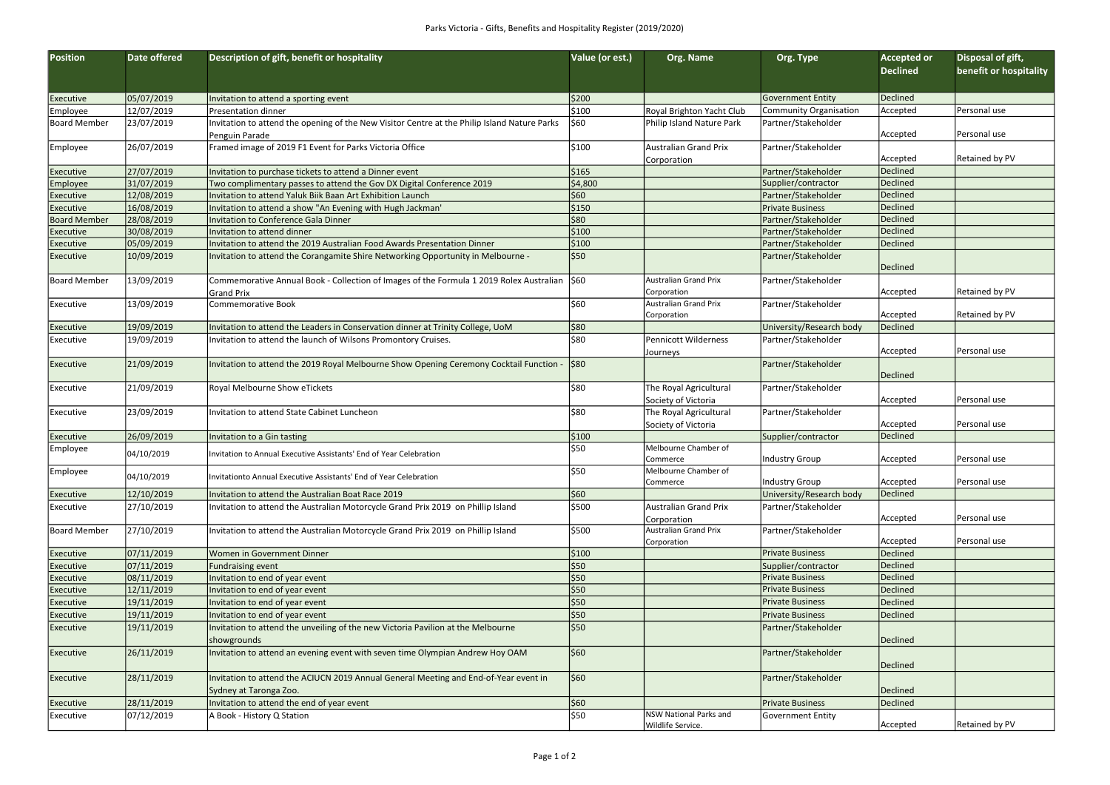| Position            | Date offered | Description of gift, benefit or hospitality                                                  | Value (or est.) | Org. Name                                     | Org. Type                | <b>Accepted or</b> | Disposal of gift,      |
|---------------------|--------------|----------------------------------------------------------------------------------------------|-----------------|-----------------------------------------------|--------------------------|--------------------|------------------------|
|                     |              |                                                                                              |                 |                                               |                          | <b>Declined</b>    | benefit or hospitality |
|                     |              |                                                                                              |                 |                                               |                          |                    |                        |
| Executive           | 05/07/2019   | Invitation to attend a sporting event                                                        | \$200           |                                               | Government Entity        | Declined           |                        |
| Employee            | 12/07/2019   | Presentation dinner                                                                          | \$100           | Royal Brighton Yacht Club                     | Community Organisation   | Accepted           | Personal use           |
| <b>Board Member</b> | 23/07/2019   | Invitation to attend the opening of the New Visitor Centre at the Philip Island Nature Parks | 560∣            | Philip Island Nature Park                     | Partner/Stakeholder      |                    |                        |
|                     |              | Penguin Parade                                                                               |                 |                                               |                          | Accepted           | Personal use           |
| Employee            | 26/07/2019   | Framed image of 2019 F1 Event for Parks Victoria Office                                      | \$100           | Australian Grand Prix                         | Partner/Stakeholder      |                    |                        |
|                     |              |                                                                                              |                 | Corporation                                   |                          | Accepted           | Retained by PV         |
| Executive           | 27/07/2019   | Invitation to purchase tickets to attend a Dinner event                                      | \$165           |                                               | Partner/Stakeholder      | Declined           |                        |
| <b>Employee</b>     | 31/07/2019   | Two complimentary passes to attend the Gov DX Digital Conference 2019                        | \$4,800         |                                               | Supplier/contractor      | Declined           |                        |
| Executive           | 12/08/2019   | Invitation to attend Yaluk Biik Baan Art Exhibition Launch                                   | 560∣            |                                               | Partner/Stakeholder      | Declined           |                        |
| <b>Executive</b>    | 16/08/2019   | Invitation to attend a show "An Evening with Hugh Jackman'                                   | \$150           |                                               | <b>Private Business</b>  | Declined           |                        |
| <b>Board Member</b> | 28/08/2019   | Invitation to Conference Gala Dinner                                                         | 80∥\$           |                                               | Partner/Stakeholder      | Declined           |                        |
| Executive           | 30/08/2019   | Invitation to attend dinner                                                                  | \$100           |                                               | Partner/Stakeholder      | Declined           |                        |
| Executive           | 05/09/2019   | Invitation to attend the 2019 Australian Food Awards Presentation Dinner                     | \$100           |                                               | Partner/Stakeholder      | Declined           |                        |
| <b>Executive</b>    | 10/09/2019   | Invitation to attend the Corangamite Shire Networking Opportunity in Melbourne -             | \$50            |                                               | Partner/Stakeholder      |                    |                        |
|                     |              |                                                                                              |                 |                                               |                          | Declined           |                        |
| Board Member        | 13/09/2019   | Commemorative Annual Book - Collection of Images of the Formula 1 2019 Rolex Australian      | \$60            | Australian Grand Prix                         | Partner/Stakeholder      |                    |                        |
|                     |              | Grand Prix                                                                                   |                 | Corporation                                   |                          | Accepted           | Retained by PV         |
| Executive           | 13/09/2019   | <b>Commemorative Book</b>                                                                    | \$60            | Australian Grand Prix                         | Partner/Stakeholder      |                    |                        |
|                     |              |                                                                                              |                 | Corporation                                   |                          | Accepted           | Retained by PV         |
| Executive           | 19/09/2019   | Invitation to attend the Leaders in Conservation dinner at Trinity College, UoM              | \$80            |                                               | University/Research body | Declined           |                        |
| <b>Executive</b>    | 19/09/2019   | Invitation to attend the launch of Wilsons Promontory Cruises.                               | 580∣            | Pennicott Wilderness                          | Partner/Stakeholder      |                    |                        |
|                     |              |                                                                                              |                 | <b>Journeys</b>                               |                          | Accepted           | Personal use           |
| Executive           | 21/09/2019   | Invitation to attend the 2019 Royal Melbourne Show Opening Ceremony Cocktail Function -      | \$80            |                                               | Partner/Stakeholder      | Declined           |                        |
| Executive           | 21/09/2019   | Royal Melbourne Show eTickets                                                                | 580∣            | The Royal Agricultural                        | Partner/Stakeholder      |                    |                        |
|                     |              |                                                                                              |                 |                                               |                          | Accepted           | Personal use           |
| <b>Executive</b>    | 23/09/2019   | Invitation to attend State Cabinet Luncheon                                                  | \$80            | Society of Victoria<br>The Royal Agricultural | Partner/Stakeholder      |                    |                        |
|                     |              |                                                                                              |                 | Society of Victoria                           |                          | Accepted           | Personal use           |
| Executive           | 26/09/2019   | Invitation to a Gin tasting                                                                  | \$100           |                                               | Supplier/contractor      | Declined           |                        |
| Employee            |              |                                                                                              | 550             | Melbourne Chamber of                          |                          |                    |                        |
|                     | 04/10/2019   | Invitation to Annual Executive Assistants' End of Year Celebration                           |                 | Commerce                                      | Industry Group           | Accepted           | Personal use           |
| Employee            |              |                                                                                              | \$50            | Melbourne Chamber of                          |                          |                    |                        |
|                     | 04/10/2019   | Invitationto Annual Executive Assistants' End of Year Celebration                            |                 | Commerce                                      | Industry Group           | Accepted           | Personal use           |
| Executive           | 12/10/2019   | Invitation to attend the Australian Boat Race 2019                                           | 560∣            |                                               | University/Research body | Declined           |                        |
| Executive           | 27/10/2019   | Invitation to attend the Australian Motorcycle Grand Prix 2019 on Phillip Island             | \$500           | Australian Grand Prix                         | Partner/Stakeholder      |                    |                        |
|                     |              |                                                                                              |                 | Corporation                                   |                          | Accepted           | Personal use           |
| Board Member        | 27/10/2019   | Invitation to attend the Australian Motorcycle Grand Prix 2019 on Phillip Island             | \$500           | Australian Grand Prix                         | Partner/Stakeholder      |                    |                        |
|                     |              |                                                                                              |                 | Corporation                                   |                          | Accepted           | Personal use           |
| Executive           | 07/11/2019   | Women in Government Dinner                                                                   | \$100           |                                               | <b>Private Business</b>  | Declined           |                        |
| <b>Executive</b>    | 07/11/2019   | Fundraising event                                                                            | \$50            |                                               | Supplier/contractor      | Declined           |                        |
| Executive           | 08/11/2019   | Invitation to end of year event                                                              | \$50            |                                               | <b>Private Business</b>  | Declined           |                        |
| Executive           | 12/11/2019   | Invitation to end of year event                                                              | \$50            |                                               | <b>Private Business</b>  | Declined           |                        |
| Executive           | 19/11/2019   | Invitation to end of year event                                                              | \$50            |                                               | <b>Private Business</b>  | Declined           |                        |
| <b>Executive</b>    | 19/11/2019   | Invitation to end of year event                                                              | \$50            |                                               | <b>Private Business</b>  | Declined           |                        |
| Executive           | 19/11/2019   | Invitation to attend the unveiling of the new Victoria Pavilion at the Melbourne             | \$50            |                                               | Partner/Stakeholder      |                    |                        |
|                     |              | showgrounds                                                                                  |                 |                                               |                          | Declined           |                        |
| Executive           | 26/11/2019   | Invitation to attend an evening event with seven time Olympian Andrew Hoy OAM                | 560∣            |                                               | Partner/Stakeholder      |                    |                        |
|                     |              |                                                                                              |                 |                                               |                          | Declined           |                        |
| Executive           | 28/11/2019   | Invitation to attend the ACIUCN 2019 Annual General Meeting and End-of-Year event in         | 560∣            |                                               | Partner/Stakeholder      |                    |                        |
|                     |              | Sydney at Taronga Zoo.                                                                       |                 |                                               |                          | Declined           |                        |
| Executive           | 28/11/2019   | Invitation to attend the end of year event                                                   | 560∣            |                                               | <b>Private Business</b>  | Declined           |                        |
| <b>Executive</b>    | 07/12/2019   | A Book - History Q Station                                                                   | \$50            | NSW National Parks and                        | Government Entity        |                    |                        |
|                     |              |                                                                                              |                 | Wildlife Service.                             |                          | Accepted           | Retained by PV         |